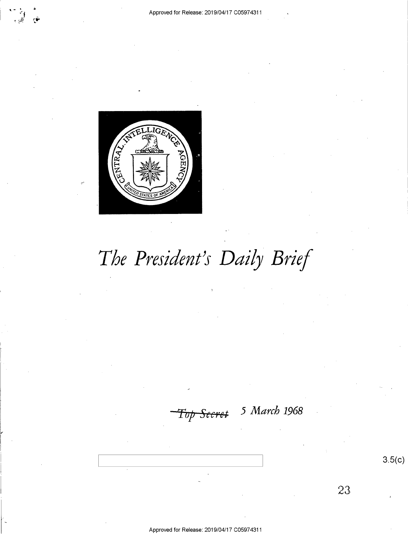

# The President's Daily Brief

<del>Top Secret</del>

5 March 1968

 $3.5(c)$ 

23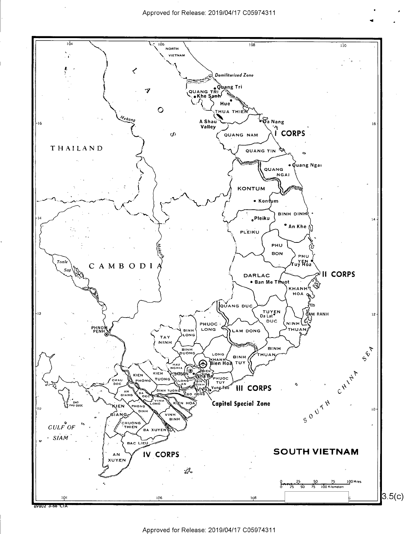

Approved for Release: 2019/04/17 C05974311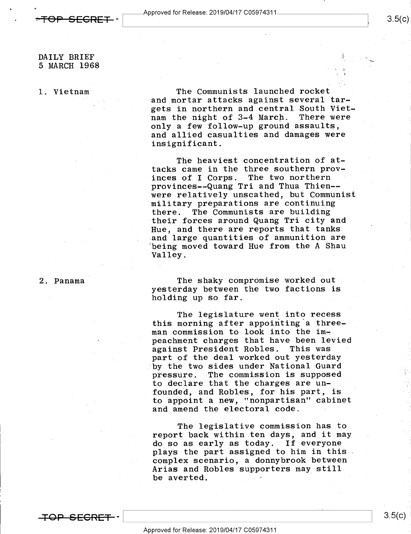1

1..

## DAILY BRIEF 5 MARCH 1968

1. Vietnam

v

The Communists launched rocket and mortar attacks against several targets in northern and central South Viet-<br>nam the night of 3-4 March. There were nam the night of 3-4 March. only a few follow-up ground assaults, and allied casualties and damages were insignificant.

The heaviest concentration of attacks came in the three southern provinces of I Corps. The two northern provinces--Quang Tri and Thua Thien- were relatively unscathed, but Communist military preparations are continuing there. The Communists are building their forces around Quang Tri city and Hue, and there are reports that tanks and large quantities of ammunition are being moved toward Hue from the A Shau Valley. .

#### 2. Panama'

The shaky compromise worked out yesterday between the two factions is holding up so far.

The legislature went into recess this morning after appointing a threeman commission to look into the impeachment charges that have been levied against President Robles. This was part of the deal worked out yesterday by the two sides under National Guard<br>pressure. The commission is supposed The commission is supposed to declare that the charges are unfounded, and Robles, for his part, is to appoint a new, "nonpartisan" cabinet and amend the electoral code.

The legislative commission has to report back within ten days, and it may do so as early as today. If everyone plays the part assigned to him in this. complex scenario, a donnybrook between Arias and Robles supporters may still be averted. '

**TOP SECRET -**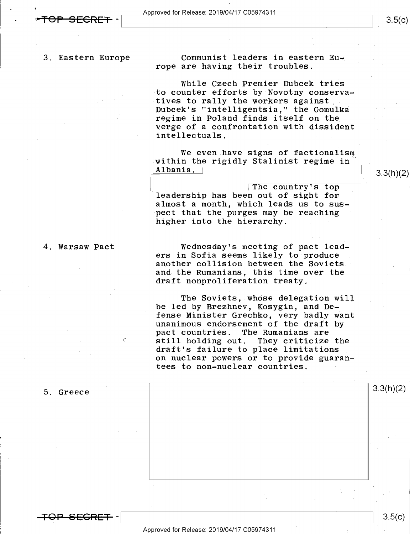3. Eastern Europe

-

Communist leaders in eastern Europe are having their troubles.

While Czech Premier Dubcek tries to counter efforts by Novotny conservatives to rally the workers against Dubcek's "intelligentsia," the Gomulka regime in Poland finds itself on the verge of a confrontation with dissident intellectuals.

We even have signs of factionalism -within the rigidly Stalinist regime in Albania.

The country's top leadership has been out of sight for almost a month, which leads us to suspect that the purges may be reaching higher into the hierarchy.

4. Warsaw Pact

 $\epsilon$ 

Wednesday's meeting of pact leaders in Sofia seems likely to produce another collision between the Soviets. and the Rumanians, this time over the draft nonproliferation treaty.

The Soviets, whose delegation will be led by Brezhnev, Kosygin, and Defense Minister Grechko, very badly want<br>unanimous endorsement of the draft by pact countries. The Rumanians are<br>still holding out. They criticize the draft's failure to place limitations<br>on nuclear powers or to provide guarantees to non-nuclear countries.



<del>TOP SECRET</del> –

5. Greece

 $3.5(c)$ 

3.3(h)(2)

 $\mathbb{L}$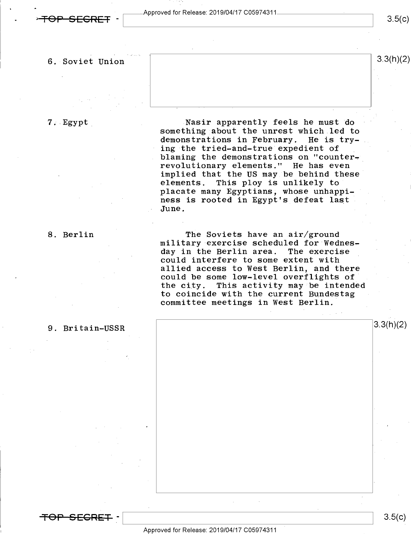$3.5(c)$ 

## 6. Soviet Union  $3.3(h)(2)$

7;\_Egypt\_

Nasir apparently feels he must do something about the unrest which led to<br>demonstrations in February. He is trydemonstrations in February. ing the tried-and-true expedient of blaming the demonstrations on "counterrevolutionary elements." He has even implied that the US may be behind these<br>elements. This ploy is unlikely to This ploy is unlikely to placate many Egyptians, whose unhappiness is rooted in Egypt's defeat last June.

8. Berlin

The Soviets have an air/ground military exercise scheduled for Wednes-<br>day in the Berlin area. The exercise could interfere to some extent with<br>allied access to West Berlin, and there could be some low-level overflights of<br>the city. This activity may be intendent the city. This activity may be intended<br>to coincide with the current Bundestag committee meetings in West Berlin.

#### 9. Britain-USSR

<del>TOP SECRET</del> ·

 $\frac{1}{8}$   $\frac{3.5(E)}{E}$ 

3.3(h)(2)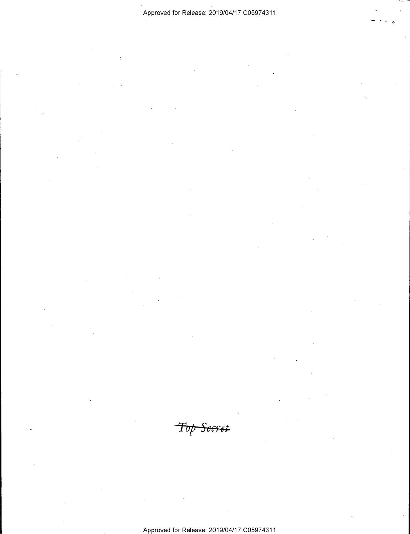$\ddot{}$ 

Top Secret

Approved for Release: 2019/O4/17 CO5974311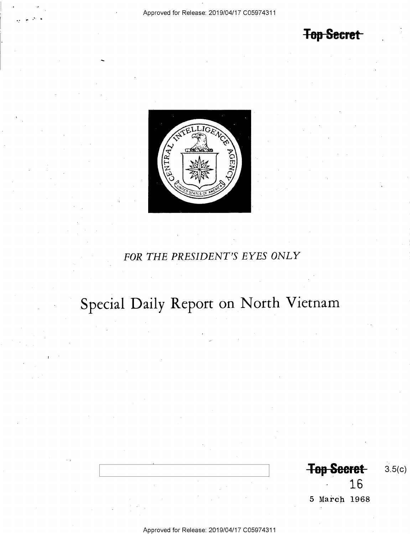-

## **Top Secret**



## FOR THE PRESIDENT'S EYES ONLY

# Special Daily Report on North Vietnam

Top Seeret 3.5(c) 16

5 March 1968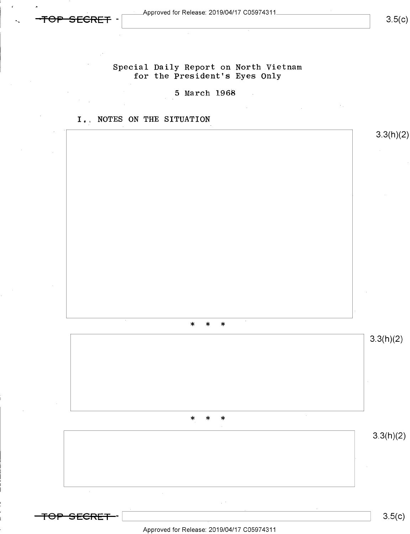Approved for Release: 2019/04/17 C05974311\_

<del>SECRET</del>

 $3.5(c)$ 

Special Daily Report on North Vietnam for the President's Eyes Only

5 March 1968

## I. NOTES ON THE SITUATION



Approved for Release: 2019/04/17 C05974311

 $3.5(c)$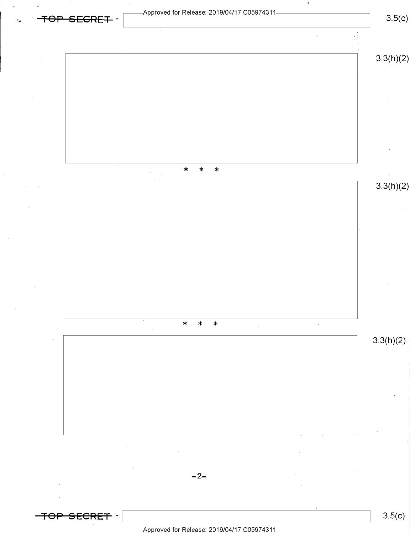

Approved for Release: 2019/O4/17 CO5974311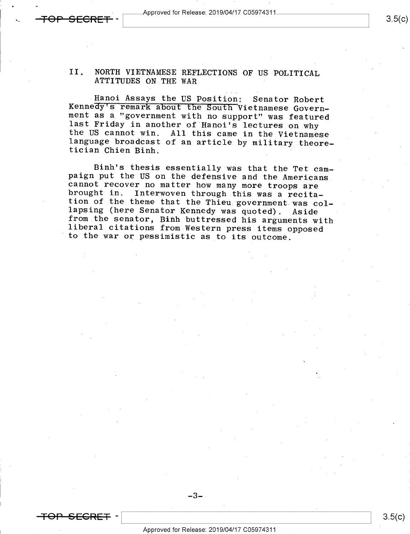Approved for Release: 2019/04/17 C05974311.

۰,

 $3.5(c)$ 

# II. NORTH VIETNAMESE REFLECTIONS OF US POLITICAL ATTITUDES ON THE WAR

Hanoi Assays the US Position: Senator Robert<br>Kennedy's remark about the South Vietnamese Govern-<br>ment as a "government with no support" was featured<br>last Friday in another of Hanoi's lectures on why<br>the US cannot win. All

Binh's thesis essentially was that the Tet cam-<br>paign put the US on the defensive and the Americans<br>cannot recover no matter how many more troops are<br>brought in. Interwoven through this was a recita-<br>tion of the theme that

### $-3-$



 $3.5(c)$